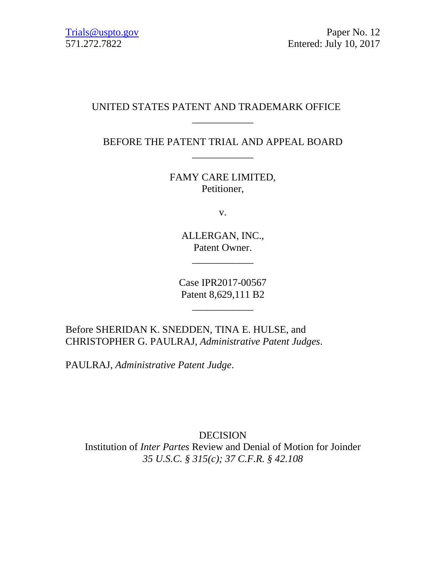# UNITED STATES PATENT AND TRADEMARK OFFICE

BEFORE THE PATENT TRIAL AND APPEAL BOARD \_\_\_\_\_\_\_\_\_\_\_\_

\_\_\_\_\_\_\_\_\_\_\_\_

FAMY CARE LIMITED, Petitioner,

v.

ALLERGAN, INC., Patent Owner.

\_\_\_\_\_\_\_\_\_\_\_\_

Case IPR2017-00567 Patent 8,629,111 B2

\_\_\_\_\_\_\_\_\_\_\_\_

Before SHERIDAN K. SNEDDEN, TINA E. HULSE, and CHRISTOPHER G. PAULRAJ, *Administrative Patent Judges*.

PAULRAJ, *Administrative Patent Judge*.

DECISION Institution of *Inter Partes* Review and Denial of Motion for Joinder *35 U.S.C. § 315(c); 37 C.F.R. § 42.108*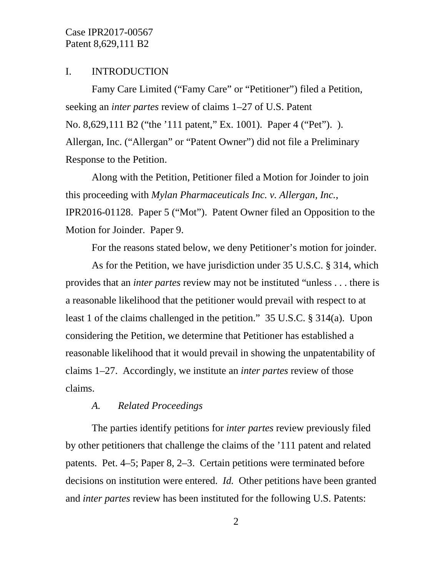#### I. INTRODUCTION

Famy Care Limited ("Famy Care" or "Petitioner") filed a Petition, seeking an *inter partes* review of claims 1–27 of U.S. Patent No. 8,629,111 B2 ("the '111 patent," Ex. 1001). Paper 4 ("Pet"). ). Allergan, Inc. ("Allergan" or "Patent Owner") did not file a Preliminary Response to the Petition.

Along with the Petition, Petitioner filed a Motion for Joinder to join this proceeding with *Mylan Pharmaceuticals Inc. v. Allergan, Inc.*, IPR2016-01128. Paper 5 ("Mot"). Patent Owner filed an Opposition to the Motion for Joinder. Paper 9.

For the reasons stated below, we deny Petitioner's motion for joinder.

As for the Petition, we have jurisdiction under 35 U.S.C. § 314, which provides that an *inter partes* review may not be instituted "unless . . . there is a reasonable likelihood that the petitioner would prevail with respect to at least 1 of the claims challenged in the petition." 35 U.S.C. § 314(a). Upon considering the Petition, we determine that Petitioner has established a reasonable likelihood that it would prevail in showing the unpatentability of claims 1–27. Accordingly, we institute an *inter partes* review of those claims.

### *A. Related Proceedings*

The parties identify petitions for *inter partes* review previously filed by other petitioners that challenge the claims of the '111 patent and related patents. Pet. 4–5; Paper 8, 2–3. Certain petitions were terminated before decisions on institution were entered. *Id.* Other petitions have been granted and *inter partes* review has been instituted for the following U.S. Patents: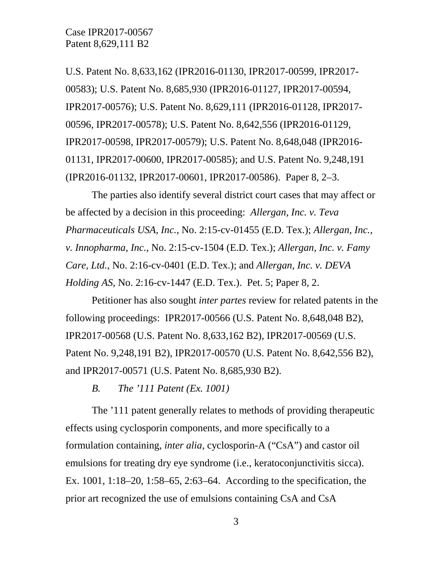U.S. Patent No. 8,633,162 (IPR2016-01130, IPR2017-00599, IPR2017- 00583); U.S. Patent No. 8,685,930 (IPR2016-01127, IPR2017-00594, IPR2017-00576); U.S. Patent No. 8,629,111 (IPR2016-01128, IPR2017- 00596, IPR2017-00578); U.S. Patent No. 8,642,556 (IPR2016-01129, IPR2017-00598, IPR2017-00579); U.S. Patent No. 8,648,048 (IPR2016- 01131, IPR2017-00600, IPR2017-00585); and U.S. Patent No. 9,248,191 (IPR2016-01132, IPR2017-00601, IPR2017-00586). Paper 8, 2–3.

The parties also identify several district court cases that may affect or be affected by a decision in this proceeding: *Allergan, Inc. v. Teva Pharmaceuticals USA, Inc.*, No. 2:15-cv-01455 (E.D. Tex.); *Allergan, Inc., v. Innopharma, Inc.*, No. 2:15-cv-1504 (E.D. Tex.); *Allergan, Inc. v. Famy Care, Ltd.*, No. 2:16-cv-0401 (E.D. Tex.); and *Allergan, Inc. v. DEVA Holding AS*, No. 2:16-cv-1447 (E.D. Tex.). Pet. 5; Paper 8, 2.

Petitioner has also sought *inter partes* review for related patents in the following proceedings: IPR2017-00566 (U.S. Patent No. 8,648,048 B2), IPR2017-00568 (U.S. Patent No. 8,633,162 B2), IPR2017-00569 (U.S. Patent No. 9,248,191 B2), IPR2017-00570 (U.S. Patent No. 8,642,556 B2), and IPR2017-00571 (U.S. Patent No. 8,685,930 B2).

*B. The '111 Patent (Ex. 1001)*

The '111 patent generally relates to methods of providing therapeutic effects using cyclosporin components, and more specifically to a formulation containing, *inter alia*, cyclosporin-A ("CsA") and castor oil emulsions for treating dry eye syndrome (i.e., keratoconjunctivitis sicca). Ex. 1001, 1:18–20, 1:58–65, 2:63–64. According to the specification, the prior art recognized the use of emulsions containing CsA and CsA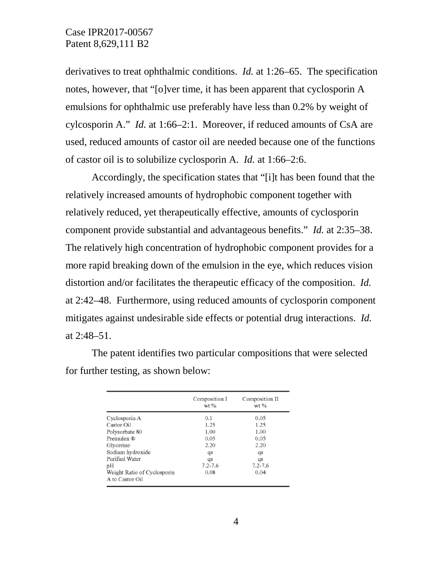derivatives to treat ophthalmic conditions. *Id.* at 1:26–65. The specification notes, however, that "[o]ver time, it has been apparent that cyclosporin A emulsions for ophthalmic use preferably have less than 0.2% by weight of cylcosporin A." *Id.* at 1:66–2:1. Moreover, if reduced amounts of CsA are used, reduced amounts of castor oil are needed because one of the functions of castor oil is to solubilize cyclosporin A. *Id.* at 1:66–2:6.

Accordingly, the specification states that "[i]t has been found that the relatively increased amounts of hydrophobic component together with relatively reduced, yet therapeutically effective, amounts of cyclosporin component provide substantial and advantageous benefits." *Id.* at 2:35–38. The relatively high concentration of hydrophobic component provides for a more rapid breaking down of the emulsion in the eye, which reduces vision distortion and/or facilitates the therapeutic efficacy of the composition. *Id.* at 2:42–48. Furthermore, using reduced amounts of cyclosporin component mitigates against undesirable side effects or potential drug interactions. *Id.* at 2:48–51.

The patent identifies two particular compositions that were selected for further testing, as shown below:

|                             | Composition I<br>$wt$ % | Composition II<br>wt % |  |
|-----------------------------|-------------------------|------------------------|--|
| Cyclosporin A               | 0.1                     | 0.05                   |  |
| Castor Oil                  | 1.25                    | 1.25                   |  |
| Polysorbate 80              | 1.00                    | 1.00                   |  |
| Premulen ®                  | 0.05                    | 0.05                   |  |
| Glycerine                   | 2.20                    | 2.20                   |  |
| Sodium hydroxide            | $q_{s}$                 | qs                     |  |
| Purified Water              | qs                      | qs                     |  |
| pН                          | $7.2 - 7.6$             | $7.2 - 7.6$            |  |
| Weight Ratio of Cyclosporin | 0.08                    | 0.04                   |  |
| A to Castor Oil             |                         |                        |  |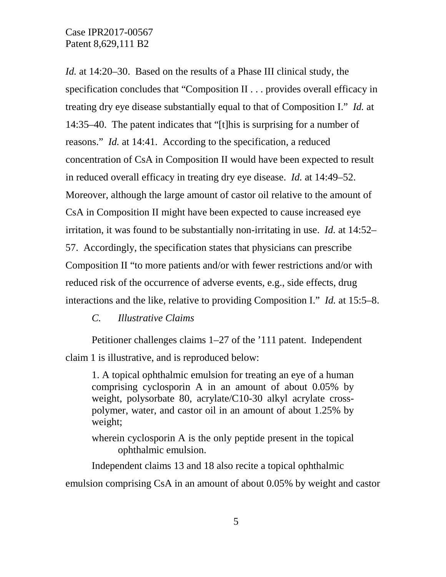*Id.* at 14:20–30. Based on the results of a Phase III clinical study, the specification concludes that "Composition II . . . provides overall efficacy in treating dry eye disease substantially equal to that of Composition I." *Id.* at 14:35–40. The patent indicates that "[t]his is surprising for a number of reasons." *Id.* at 14:41. According to the specification, a reduced concentration of CsA in Composition II would have been expected to result in reduced overall efficacy in treating dry eye disease. *Id.* at 14:49–52. Moreover, although the large amount of castor oil relative to the amount of CsA in Composition II might have been expected to cause increased eye irritation, it was found to be substantially non-irritating in use. *Id.* at 14:52– 57. Accordingly, the specification states that physicians can prescribe Composition II "to more patients and/or with fewer restrictions and/or with reduced risk of the occurrence of adverse events, e.g., side effects, drug interactions and the like, relative to providing Composition I." *Id.* at 15:5–8.

#### *C. Illustrative Claims*

Petitioner challenges claims 1–27 of the '111 patent. Independent claim 1 is illustrative, and is reproduced below:

1. A topical ophthalmic emulsion for treating an eye of a human comprising cyclosporin A in an amount of about 0.05% by weight, polysorbate 80, acrylate/C10-30 alkyl acrylate crosspolymer, water, and castor oil in an amount of about 1.25% by weight;

wherein cyclosporin A is the only peptide present in the topical ophthalmic emulsion.

Independent claims 13 and 18 also recite a topical ophthalmic emulsion comprising CsA in an amount of about 0.05% by weight and castor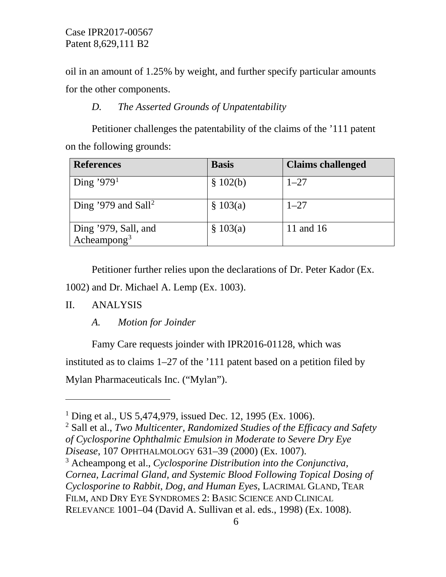oil in an amount of 1.25% by weight, and further specify particular amounts for the other components.

## *D. The Asserted Grounds of Unpatentability*

Petitioner challenges the patentability of the claims of the '111 patent on the following grounds:

| <b>References</b>                               | <b>Basis</b> | <b>Claims challenged</b> |
|-------------------------------------------------|--------------|--------------------------|
| Ding '979 <sup>1</sup>                          | \$102(b)     | $1 - 27$                 |
| Ding '979 and Sall <sup>2</sup>                 | \$103(a)     | $1 - 27$                 |
| Ding '979, Sall, and<br>Acheampong <sup>3</sup> | \$103(a)     | 11 and 16                |

Petitioner further relies upon the declarations of Dr. Peter Kador (Ex.

1002) and Dr. Michael A. Lemp (Ex. 1003).

#### II. ANALYSIS

 $\overline{a}$ 

*A. Motion for Joinder*

Famy Care requests joinder with IPR2016-01128, which was instituted as to claims 1–27 of the '111 patent based on a petition filed by Mylan Pharmaceuticals Inc. ("Mylan").

<span id="page-5-0"></span><sup>&</sup>lt;sup>1</sup> Ding et al., US 5,474,979, issued Dec. 12, 1995 (Ex. 1006).

<span id="page-5-1"></span><sup>2</sup> Sall et al., *Two Multicenter, Randomized Studies of the Efficacy and Safety of Cyclosporine Ophthalmic Emulsion in Moderate to Severe Dry Eye Disease*, 107 OPHTHALMOLOGY 631–39 (2000) (Ex. 1007).

<span id="page-5-2"></span><sup>3</sup> Acheampong et al., *Cyclosporine Distribution into the Conjunctiva, Cornea, Lacrimal Gland, and Systemic Blood Following Topical Dosing of Cyclosporine to Rabbit, Dog, and Human Eyes*, LACRIMAL GLAND, TEAR FILM, AND DRY EYE SYNDROMES 2: BASIC SCIENCE AND CLINICAL RELEVANCE 1001–04 (David A. Sullivan et al. eds., 1998) (Ex. 1008).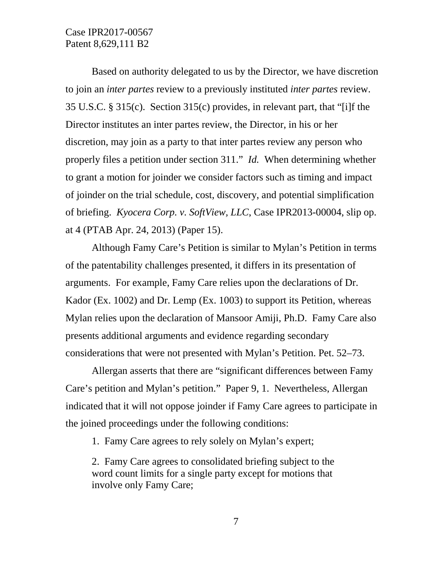Based on authority delegated to us by the Director, we have discretion to join an *inter partes* review to a previously instituted *inter partes* review. 35 U.S.C. § 315(c). Section 315(c) provides, in relevant part, that "[i]f the Director institutes an inter partes review, the Director, in his or her discretion, may join as a party to that inter partes review any person who properly files a petition under section 311." *Id.* When determining whether to grant a motion for joinder we consider factors such as timing and impact of joinder on the trial schedule, cost, discovery, and potential simplification of briefing. *Kyocera Corp. v. SoftView, LLC*, Case IPR2013-00004, slip op. at 4 (PTAB Apr. 24, 2013) (Paper 15).

Although Famy Care's Petition is similar to Mylan's Petition in terms of the patentability challenges presented, it differs in its presentation of arguments. For example, Famy Care relies upon the declarations of Dr. Kador (Ex. 1002) and Dr. Lemp (Ex. 1003) to support its Petition, whereas Mylan relies upon the declaration of Mansoor Amiji, Ph.D. Famy Care also presents additional arguments and evidence regarding secondary considerations that were not presented with Mylan's Petition. Pet. 52–73.

Allergan asserts that there are "significant differences between Famy Care's petition and Mylan's petition." Paper 9, 1. Nevertheless, Allergan indicated that it will not oppose joinder if Famy Care agrees to participate in the joined proceedings under the following conditions:

1. Famy Care agrees to rely solely on Mylan's expert;

2. Famy Care agrees to consolidated briefing subject to the word count limits for a single party except for motions that involve only Famy Care;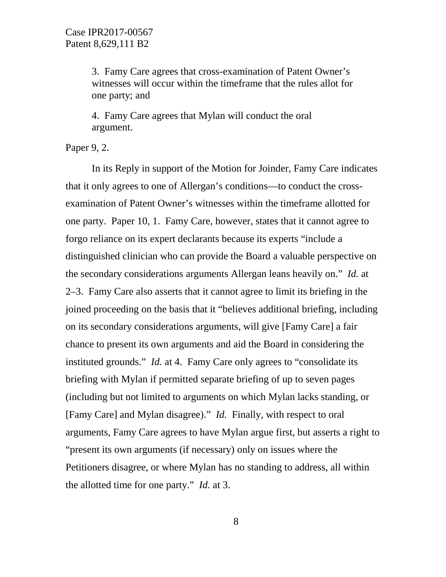3. Famy Care agrees that cross-examination of Patent Owner's witnesses will occur within the timeframe that the rules allot for one party; and

4. Famy Care agrees that Mylan will conduct the oral argument.

Paper 9, 2.

In its Reply in support of the Motion for Joinder, Famy Care indicates that it only agrees to one of Allergan's conditions—to conduct the crossexamination of Patent Owner's witnesses within the timeframe allotted for one party. Paper 10, 1. Famy Care, however, states that it cannot agree to forgo reliance on its expert declarants because its experts "include a distinguished clinician who can provide the Board a valuable perspective on the secondary considerations arguments Allergan leans heavily on." *Id.* at 2–3. Famy Care also asserts that it cannot agree to limit its briefing in the joined proceeding on the basis that it "believes additional briefing, including on its secondary considerations arguments, will give [Famy Care] a fair chance to present its own arguments and aid the Board in considering the instituted grounds." *Id.* at 4. Famy Care only agrees to "consolidate its briefing with Mylan if permitted separate briefing of up to seven pages (including but not limited to arguments on which Mylan lacks standing, or [Famy Care] and Mylan disagree)." *Id.* Finally, with respect to oral arguments, Famy Care agrees to have Mylan argue first, but asserts a right to "present its own arguments (if necessary) only on issues where the Petitioners disagree, or where Mylan has no standing to address, all within the allotted time for one party." *Id.* at 3.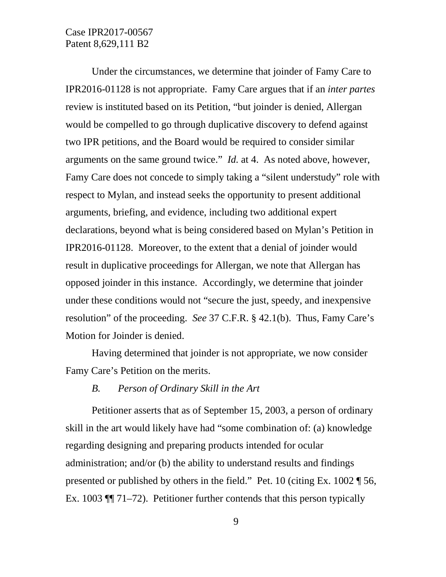Under the circumstances, we determine that joinder of Famy Care to IPR2016-01128 is not appropriate. Famy Care argues that if an *inter partes* review is instituted based on its Petition, "but joinder is denied, Allergan would be compelled to go through duplicative discovery to defend against two IPR petitions, and the Board would be required to consider similar arguments on the same ground twice." *Id.* at 4. As noted above, however, Famy Care does not concede to simply taking a "silent understudy" role with respect to Mylan, and instead seeks the opportunity to present additional arguments, briefing, and evidence, including two additional expert declarations, beyond what is being considered based on Mylan's Petition in IPR2016-01128. Moreover, to the extent that a denial of joinder would result in duplicative proceedings for Allergan, we note that Allergan has opposed joinder in this instance. Accordingly, we determine that joinder under these conditions would not "secure the just, speedy, and inexpensive resolution" of the proceeding. *See* 37 C.F.R. § 42.1(b). Thus, Famy Care's Motion for Joinder is denied.

Having determined that joinder is not appropriate, we now consider Famy Care's Petition on the merits.

#### *B. Person of Ordinary Skill in the Art*

Petitioner asserts that as of September 15, 2003, a person of ordinary skill in the art would likely have had "some combination of: (a) knowledge regarding designing and preparing products intended for ocular administration; and/or (b) the ability to understand results and findings presented or published by others in the field." Pet. 10 (citing Ex. 1002 ¶ 56, Ex. 1003 ¶¶ 71–72). Petitioner further contends that this person typically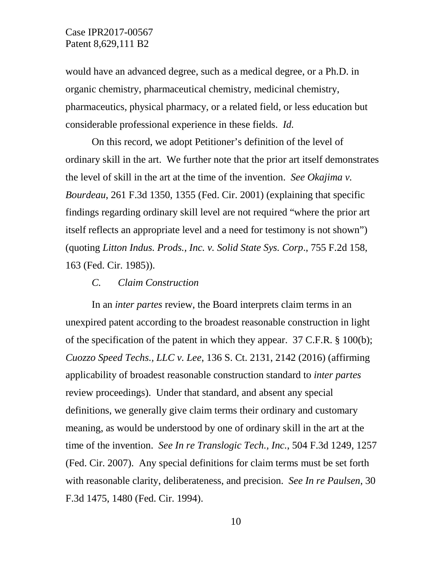would have an advanced degree, such as a medical degree, or a Ph.D. in organic chemistry, pharmaceutical chemistry, medicinal chemistry, pharmaceutics, physical pharmacy, or a related field, or less education but considerable professional experience in these fields. *Id.*

On this record, we adopt Petitioner's definition of the level of ordinary skill in the art. We further note that the prior art itself demonstrates the level of skill in the art at the time of the invention. *See Okajima v. Bourdeau*, 261 F.3d 1350, 1355 (Fed. Cir. 2001) (explaining that specific findings regarding ordinary skill level are not required "where the prior art itself reflects an appropriate level and a need for testimony is not shown") (quoting *Litton Indus. Prods., Inc. v. Solid State Sys. Corp*., 755 F.2d 158, 163 (Fed. Cir. 1985)).

#### *C. Claim Construction*

In an *inter partes* review, the Board interprets claim terms in an unexpired patent according to the broadest reasonable construction in light of the specification of the patent in which they appear. 37 C.F.R. § 100(b); *Cuozzo Speed Techs., LLC v. Lee*, 136 S. Ct. 2131, 2142 (2016) (affirming applicability of broadest reasonable construction standard to *inter partes* review proceedings). Under that standard, and absent any special definitions, we generally give claim terms their ordinary and customary meaning, as would be understood by one of ordinary skill in the art at the time of the invention. *See In re Translogic Tech., Inc.*, 504 F.3d 1249, 1257 (Fed. Cir. 2007). Any special definitions for claim terms must be set forth with reasonable clarity, deliberateness, and precision. *See In re Paulsen*, 30 F.3d 1475, 1480 (Fed. Cir. 1994).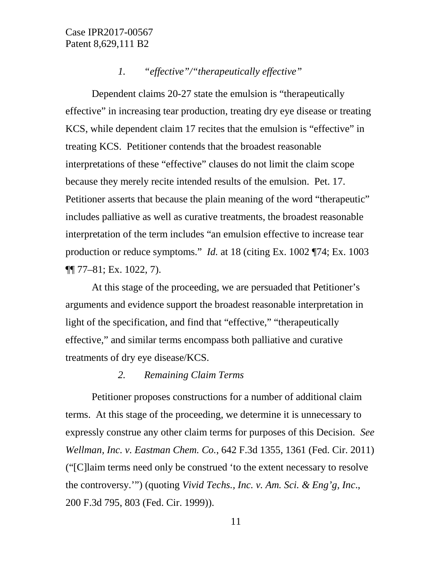## *1. "effective"/"therapeutically effective"*

Dependent claims 20-27 state the emulsion is "therapeutically effective" in increasing tear production, treating dry eye disease or treating KCS, while dependent claim 17 recites that the emulsion is "effective" in treating KCS. Petitioner contends that the broadest reasonable interpretations of these "effective" clauses do not limit the claim scope because they merely recite intended results of the emulsion. Pet. 17. Petitioner asserts that because the plain meaning of the word "therapeutic" includes palliative as well as curative treatments, the broadest reasonable interpretation of the term includes "an emulsion effective to increase tear production or reduce symptoms." *Id.* at 18 (citing Ex. 1002 ¶74; Ex. 1003 ¶¶ 77–81; Ex. 1022, 7).

At this stage of the proceeding, we are persuaded that Petitioner's arguments and evidence support the broadest reasonable interpretation in light of the specification, and find that "effective," "therapeutically effective," and similar terms encompass both palliative and curative treatments of dry eye disease/KCS.

## *2. Remaining Claim Terms*

Petitioner proposes constructions for a number of additional claim terms. At this stage of the proceeding, we determine it is unnecessary to expressly construe any other claim terms for purposes of this Decision. *See Wellman, Inc. v. Eastman Chem. Co.*, 642 F.3d 1355, 1361 (Fed. Cir. 2011) ("[C]laim terms need only be construed 'to the extent necessary to resolve the controversy.'") (quoting *Vivid Techs., Inc. v. Am. Sci. & Eng'g, Inc*., 200 F.3d 795, 803 (Fed. Cir. 1999)).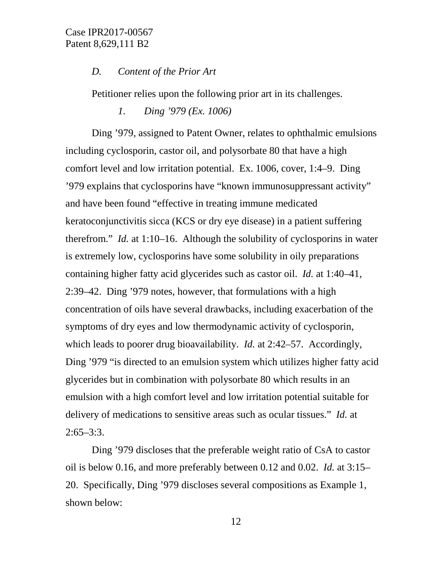#### *D. Content of the Prior Art*

Petitioner relies upon the following prior art in its challenges.

*1. Ding '979 (Ex. 1006)*

Ding '979, assigned to Patent Owner, relates to ophthalmic emulsions including cyclosporin, castor oil, and polysorbate 80 that have a high comfort level and low irritation potential. Ex. 1006, cover, 1:4–9. Ding '979 explains that cyclosporins have "known immunosuppressant activity" and have been found "effective in treating immune medicated keratoconjunctivitis sicca (KCS or dry eye disease) in a patient suffering therefrom." *Id.* at 1:10–16. Although the solubility of cyclosporins in water is extremely low, cyclosporins have some solubility in oily preparations containing higher fatty acid glycerides such as castor oil. *Id.* at 1:40–41, 2:39–42. Ding '979 notes, however, that formulations with a high concentration of oils have several drawbacks, including exacerbation of the symptoms of dry eyes and low thermodynamic activity of cyclosporin, which leads to poorer drug bioavailability. *Id.* at 2:42–57. Accordingly, Ding '979 "is directed to an emulsion system which utilizes higher fatty acid glycerides but in combination with polysorbate 80 which results in an emulsion with a high comfort level and low irritation potential suitable for delivery of medications to sensitive areas such as ocular tissues." *Id.* at  $2:65 - 3:3$ .

Ding '979 discloses that the preferable weight ratio of CsA to castor oil is below 0.16, and more preferably between 0.12 and 0.02. *Id.* at 3:15– 20. Specifically, Ding '979 discloses several compositions as Example 1, shown below: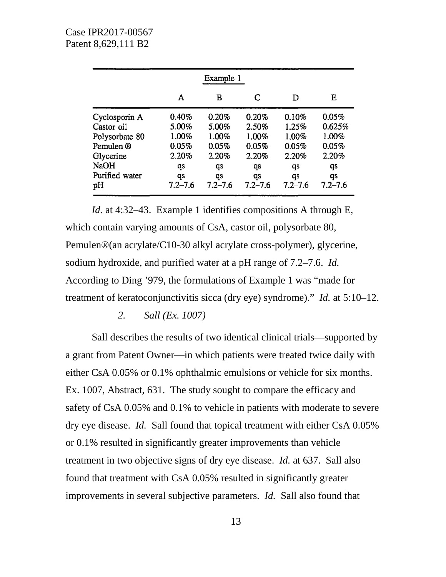|                | Example 1   |             |             |             |             |  |
|----------------|-------------|-------------|-------------|-------------|-------------|--|
|                | A           | в           | C           | D           | Е           |  |
| Cyclosporin A  | 0.40%       | 0.20%       | 0.20%       | 0.10%       | 0.05%       |  |
| Castor oil     | 5.00%       | 5.00%       | 2.50%       | 1.25%       | 0.625%      |  |
| Polysorbate 80 | 1.00%       | 1.00%       | 1.00%       | 1.00%       | 1.00%       |  |
| Pemulen ®      | 0.05%       | 0.05%       | 0.05%       | 0.05%       | 0.05%       |  |
| Glycerine      | 2.20%       | 2.20%       | 2.20%       | 2.20%       | 2.20%       |  |
| <b>NaOH</b>    | qs          | qs          | qs          | qs          | qs          |  |
| Purified water | qs          | qs          | qs          | qs          | qs          |  |
| pН             | $7.2 - 7.6$ | $7.2 - 7.6$ | $7.2 - 7.6$ | $7.2 - 7.6$ | $7.2 - 7.6$ |  |

*Id.* at 4:32–43. Example 1 identifies compositions A through E, which contain varying amounts of CsA, castor oil, polysorbate 80, Pemulen®(an acrylate/C10-30 alkyl acrylate cross-polymer), glycerine, sodium hydroxide, and purified water at a pH range of 7.2–7.6. *Id.* According to Ding '979, the formulations of Example 1 was "made for treatment of keratoconjunctivitis sicca (dry eye) syndrome)." *Id.* at 5:10–12.

#### *2. Sall (Ex. 1007)*

Sall describes the results of two identical clinical trials—supported by a grant from Patent Owner—in which patients were treated twice daily with either CsA 0.05% or 0.1% ophthalmic emulsions or vehicle for six months. Ex. 1007, Abstract, 631. The study sought to compare the efficacy and safety of CsA 0.05% and 0.1% to vehicle in patients with moderate to severe dry eye disease. *Id.* Sall found that topical treatment with either CsA 0.05% or 0.1% resulted in significantly greater improvements than vehicle treatment in two objective signs of dry eye disease. *Id.* at 637. Sall also found that treatment with CsA 0.05% resulted in significantly greater improvements in several subjective parameters. *Id.* Sall also found that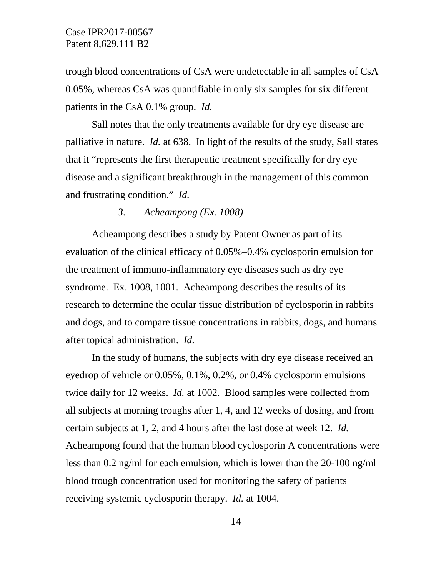trough blood concentrations of CsA were undetectable in all samples of CsA 0.05%, whereas CsA was quantifiable in only six samples for six different patients in the CsA 0.1% group. *Id.*

Sall notes that the only treatments available for dry eye disease are palliative in nature. *Id.* at 638. In light of the results of the study, Sall states that it "represents the first therapeutic treatment specifically for dry eye disease and a significant breakthrough in the management of this common and frustrating condition." *Id.*

#### *3. Acheampong (Ex. 1008)*

Acheampong describes a study by Patent Owner as part of its evaluation of the clinical efficacy of 0.05%–0.4% cyclosporin emulsion for the treatment of immuno-inflammatory eye diseases such as dry eye syndrome. Ex. 1008, 1001. Acheampong describes the results of its research to determine the ocular tissue distribution of cyclosporin in rabbits and dogs, and to compare tissue concentrations in rabbits, dogs, and humans after topical administration. *Id.*

In the study of humans, the subjects with dry eye disease received an eyedrop of vehicle or 0.05%, 0.1%, 0.2%, or 0.4% cyclosporin emulsions twice daily for 12 weeks. *Id.* at 1002. Blood samples were collected from all subjects at morning troughs after 1, 4, and 12 weeks of dosing, and from certain subjects at 1, 2, and 4 hours after the last dose at week 12. *Id.* Acheampong found that the human blood cyclosporin A concentrations were less than 0.2 ng/ml for each emulsion, which is lower than the 20-100 ng/ml blood trough concentration used for monitoring the safety of patients receiving systemic cyclosporin therapy. *Id.* at 1004.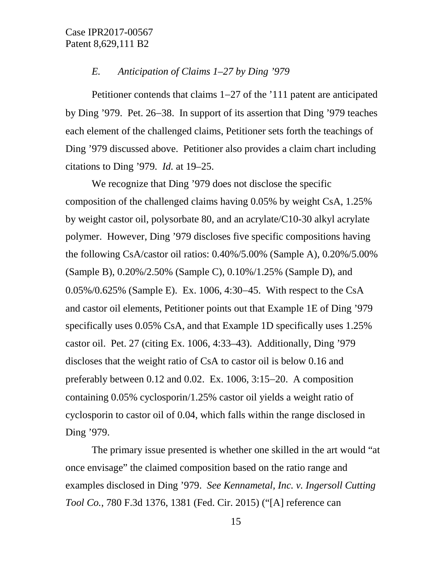#### *E. Anticipation of Claims 1–27 by Ding '979*

Petitioner contends that claims 1−27 of the '111 patent are anticipated by Ding '979. Pet. 26−38. In support of its assertion that Ding '979 teaches each element of the challenged claims, Petitioner sets forth the teachings of Ding '979 discussed above. Petitioner also provides a claim chart including citations to Ding '979. *Id.* at 19–25.

We recognize that Ding '979 does not disclose the specific composition of the challenged claims having 0.05% by weight CsA, 1.25% by weight castor oil, polysorbate 80, and an acrylate/C10-30 alkyl acrylate polymer. However, Ding '979 discloses five specific compositions having the following CsA/castor oil ratios: 0.40%/5.00% (Sample A), 0.20%/5.00% (Sample B), 0.20%/2.50% (Sample C), 0.10%/1.25% (Sample D), and 0.05%/0.625% (Sample E). Ex. 1006, 4:30−45. With respect to the CsA and castor oil elements, Petitioner points out that Example 1E of Ding '979 specifically uses 0.05% CsA, and that Example 1D specifically uses 1.25% castor oil. Pet. 27 (citing Ex. 1006, 4:33–43). Additionally, Ding '979 discloses that the weight ratio of CsA to castor oil is below 0.16 and preferably between 0.12 and 0.02. Ex. 1006, 3:15−20. A composition containing 0.05% cyclosporin/1.25% castor oil yields a weight ratio of cyclosporin to castor oil of 0.04, which falls within the range disclosed in Ding '979.

The primary issue presented is whether one skilled in the art would "at once envisage" the claimed composition based on the ratio range and examples disclosed in Ding '979. *See Kennametal, Inc. v. Ingersoll Cutting Tool Co.*, 780 F.3d 1376, 1381 (Fed. Cir. 2015) ("[A] reference can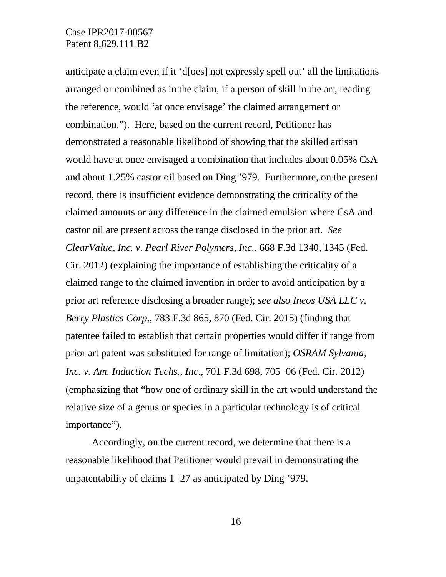anticipate a claim even if it 'd[oes] not expressly spell out' all the limitations arranged or combined as in the claim, if a person of skill in the art, reading the reference, would 'at once envisage' the claimed arrangement or combination."). Here, based on the current record, Petitioner has demonstrated a reasonable likelihood of showing that the skilled artisan would have at once envisaged a combination that includes about 0.05% CsA and about 1.25% castor oil based on Ding '979. Furthermore, on the present record, there is insufficient evidence demonstrating the criticality of the claimed amounts or any difference in the claimed emulsion where CsA and castor oil are present across the range disclosed in the prior art. *See ClearValue, Inc. v. Pearl River Polymers, Inc.*, 668 F.3d 1340, 1345 (Fed. Cir. 2012) (explaining the importance of establishing the criticality of a claimed range to the claimed invention in order to avoid anticipation by a prior art reference disclosing a broader range); *see also Ineos USA LLC v. Berry Plastics Corp*., 783 F.3d 865, 870 (Fed. Cir. 2015) (finding that patentee failed to establish that certain properties would differ if range from prior art patent was substituted for range of limitation); *OSRAM Sylvania, Inc. v. Am. Induction Techs., Inc*., 701 F.3d 698, 705−06 (Fed. Cir. 2012) (emphasizing that "how one of ordinary skill in the art would understand the relative size of a genus or species in a particular technology is of critical importance").

Accordingly, on the current record, we determine that there is a reasonable likelihood that Petitioner would prevail in demonstrating the unpatentability of claims 1−27 as anticipated by Ding '979.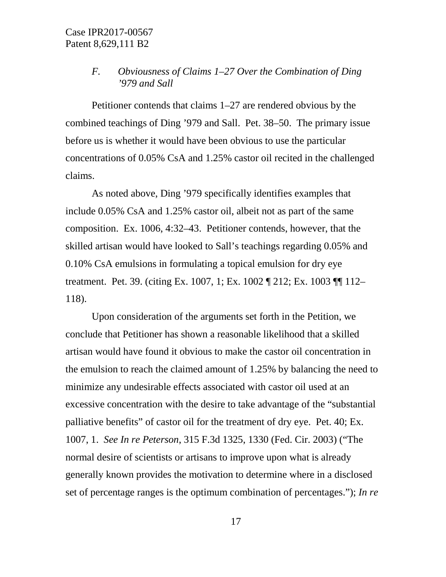## *F. Obviousness of Claims 1–27 Over the Combination of Ding '979 and Sall*

Petitioner contends that claims 1–27 are rendered obvious by the combined teachings of Ding '979 and Sall. Pet. 38–50. The primary issue before us is whether it would have been obvious to use the particular concentrations of 0.05% CsA and 1.25% castor oil recited in the challenged claims.

As noted above, Ding '979 specifically identifies examples that include 0.05% CsA and 1.25% castor oil, albeit not as part of the same composition. Ex. 1006, 4:32–43. Petitioner contends, however, that the skilled artisan would have looked to Sall's teachings regarding 0.05% and 0.10% CsA emulsions in formulating a topical emulsion for dry eye treatment. Pet. 39. (citing Ex. 1007, 1; Ex. 1002 ¶ 212; Ex. 1003 ¶¶ 112– 118).

Upon consideration of the arguments set forth in the Petition, we conclude that Petitioner has shown a reasonable likelihood that a skilled artisan would have found it obvious to make the castor oil concentration in the emulsion to reach the claimed amount of 1.25% by balancing the need to minimize any undesirable effects associated with castor oil used at an excessive concentration with the desire to take advantage of the "substantial palliative benefits" of castor oil for the treatment of dry eye. Pet. 40; Ex. 1007, 1. *See In re Peterson*, 315 F.3d 1325, 1330 (Fed. Cir. 2003) ("The normal desire of scientists or artisans to improve upon what is already generally known provides the motivation to determine where in a disclosed set of percentage ranges is the optimum combination of percentages."); *In re*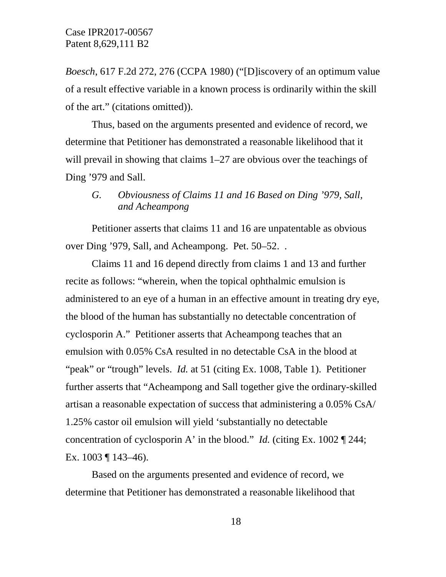*Boesch*, 617 F.2d 272, 276 (CCPA 1980) ("[D]iscovery of an optimum value of a result effective variable in a known process is ordinarily within the skill of the art." (citations omitted)).

Thus, based on the arguments presented and evidence of record, we determine that Petitioner has demonstrated a reasonable likelihood that it will prevail in showing that claims 1–27 are obvious over the teachings of Ding '979 and Sall.

## *G. Obviousness of Claims 11 and 16 Based on Ding '979, Sall, and Acheampong*

Petitioner asserts that claims 11 and 16 are unpatentable as obvious over Ding '979, Sall, and Acheampong. Pet. 50–52. .

Claims 11 and 16 depend directly from claims 1 and 13 and further recite as follows: "wherein, when the topical ophthalmic emulsion is administered to an eye of a human in an effective amount in treating dry eye, the blood of the human has substantially no detectable concentration of cyclosporin A." Petitioner asserts that Acheampong teaches that an emulsion with 0.05% CsA resulted in no detectable CsA in the blood at "peak" or "trough" levels. *Id.* at 51 (citing Ex. 1008, Table 1). Petitioner further asserts that "Acheampong and Sall together give the ordinary-skilled artisan a reasonable expectation of success that administering a 0.05% CsA/ 1.25% castor oil emulsion will yield 'substantially no detectable concentration of cyclosporin A' in the blood." *Id.* (citing Ex. 1002 ¶ 244; Ex.  $1003 \text{ } \text{T} 143 - 46$ .

Based on the arguments presented and evidence of record, we determine that Petitioner has demonstrated a reasonable likelihood that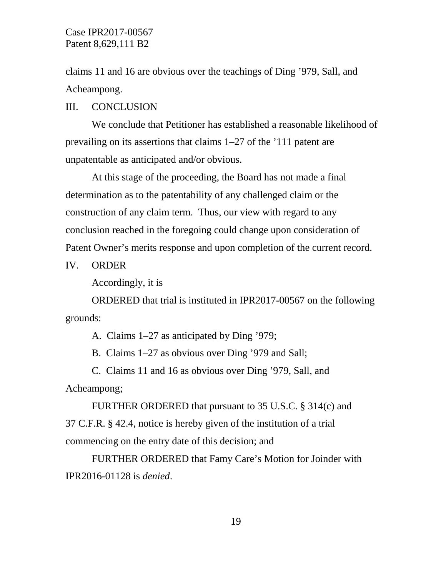claims 11 and 16 are obvious over the teachings of Ding '979, Sall, and Acheampong.

#### III. CONCLUSION

We conclude that Petitioner has established a reasonable likelihood of prevailing on its assertions that claims 1–27 of the '111 patent are unpatentable as anticipated and/or obvious.

At this stage of the proceeding, the Board has not made a final determination as to the patentability of any challenged claim or the construction of any claim term. Thus, our view with regard to any conclusion reached in the foregoing could change upon consideration of Patent Owner's merits response and upon completion of the current record.

IV. ORDER

Accordingly, it is

ORDERED that trial is instituted in IPR2017-00567 on the following grounds:

A. Claims 1–27 as anticipated by Ding '979;

B. Claims 1–27 as obvious over Ding '979 and Sall;

C. Claims 11 and 16 as obvious over Ding '979, Sall, and Acheampong;

FURTHER ORDERED that pursuant to 35 U.S.C. § 314(c) and 37 C.F.R. § 42.4, notice is hereby given of the institution of a trial commencing on the entry date of this decision; and

FURTHER ORDERED that Famy Care's Motion for Joinder with IPR2016-01128 is *denied*.